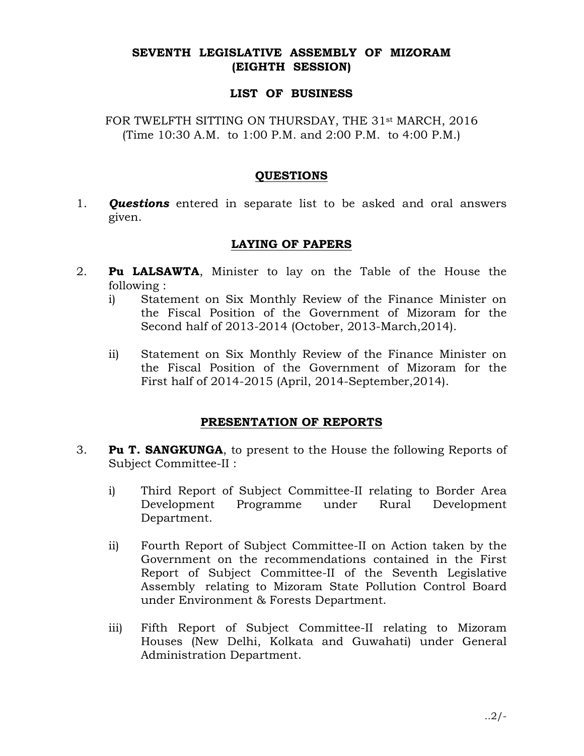# SEVENTH LEGISLATIVE ASSEMBLY OF MIZORAM (EIGHTH SESSION)

### LIST OF BUSINESS

FOR TWELFTH SITTING ON THURSDAY, THE 31<sup>st</sup> MARCH, 2016 (Time 10:30 A.M. to 1:00 P.M. and 2:00 P.M. to 4:00 P.M.)

# **QUESTIONS**

1. **Questions** entered in separate list to be asked and oral answers given.

# LAYING OF PAPERS

- 2. **Pu LALSAWTA**, Minister to lay on the Table of the House the following :
	- i) Statement on Six Monthly Review of the Finance Minister on the Fiscal Position of the Government of Mizoram for the Second half of 2013-2014 (October, 2013-March,2014).
	- ii) Statement on Six Monthly Review of the Finance Minister on the Fiscal Position of the Government of Mizoram for the First half of 2014-2015 (April, 2014-September,2014).

# PRESENTATION OF REPORTS

- 3. **Pu T. SANGKUNGA**, to present to the House the following Reports of Subject Committee-II :
	- i) Third Report of Subject Committee-II relating to Border Area Development Programme under Rural Development Department.
	- ii) Fourth Report of Subject Committee-II on Action taken by the Government on the recommendations contained in the First Report of Subject Committee-II of the Seventh Legislative Assembly relating to Mizoram State Pollution Control Board under Environment & Forests Department.
	- iii) Fifth Report of Subject Committee-II relating to Mizoram Houses (New Delhi, Kolkata and Guwahati) under General Administration Department.